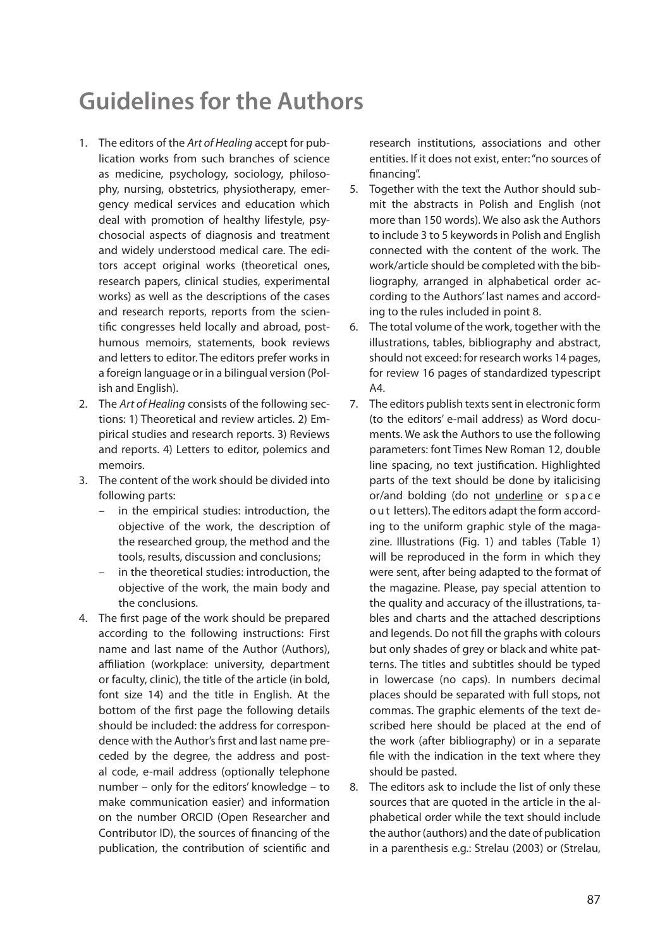## **Guidelines for the Authors**

- 1. The editors of the Art of Healing accept for publication works from such branches of science as medicine, psychology, sociology, philosophy, nursing, obstetrics, physiotherapy, emergency medical services and education which deal with promotion of healthy lifestyle, psychosocial aspects of diagnosis and treatment and widely understood medical care. The editors accept original works (theoretical ones, research papers, clinical studies, experimental works) as well as the descriptions of the cases and research reports, reports from the scientific congresses held locally and abroad, posthumous memoirs, statements, book reviews and letters to editor. The editors prefer works in a foreign language or in a bilingual version (Polish and English).
- 2. The Art of Healing consists of the following sections: 1) Theoretical and review articles. 2) Empirical studies and research reports. 3) Reviews and reports. 4) Letters to editor, polemics and memoirs.
- 3. The content of the work should be divided into following parts:
	- in the empirical studies: introduction, the objective of the work, the description of the researched group, the method and the tools, results, discussion and conclusions;
	- in the theoretical studies: introduction, the objective of the work, the main body and the conclusions.
- 4. The first page of the work should be prepared according to the following instructions: First name and last name of the Author (Authors), affiliation (workplace: university, department or faculty, clinic), the title of the article (in bold, font size 14) and the title in English. At the bottom of the first page the following details should be included: the address for correspondence with the Author's first and last name preceded by the degree, the address and postal code, e-mail address (optionally telephone number – only for the editors' knowledge – to make communication easier) and information on the number ORCID (Open Researcher and Contributor ID), the sources of financing of the publication, the contribution of scientific and

research institutions, associations and other entities. If it does not exist, enter: "no sources of financing".

- 5. Together with the text the Author should submit the abstracts in Polish and English (not more than 150 words). We also ask the Authors to include 3 to 5 keywords in Polish and English connected with the content of the work. The work/article should be completed with the bibliography, arranged in alphabetical order according to the Authors' last names and according to the rules included in point 8.
- 6. The total volume of the work, together with the illustrations, tables, bibliography and abstract, should not exceed: for research works 14 pages, for review 16 pages of standardized typescript A4.
- 7. The editors publish texts sent in electronic form (to the editors' e-mail address) as Word documents. We ask the Authors to use the following parameters: font Times New Roman 12, double line spacing, no text justification. Highlighted parts of the text should be done by italicising or/and bolding (do not underline or space out letters). The editors adapt the form according to the uniform graphic style of the magazine. Illustrations (Fig. 1) and tables (Table 1) will be reproduced in the form in which they were sent, after being adapted to the format of the magazine. Please, pay special attention to the quality and accuracy of the illustrations, tables and charts and the attached descriptions and legends. Do not fill the graphs with colours but only shades of grey or black and white patterns. The titles and subtitles should be typed in lowercase (no caps). In numbers decimal places should be separated with full stops, not commas. The graphic elements of the text described here should be placed at the end of the work (after bibliography) or in a separate file with the indication in the text where they should be pasted.
- 8. The editors ask to include the list of only these sources that are quoted in the article in the alphabetical order while the text should include the author (authors) and the date of publication in a parenthesis e.g.: Strelau (2003) or (Strelau,